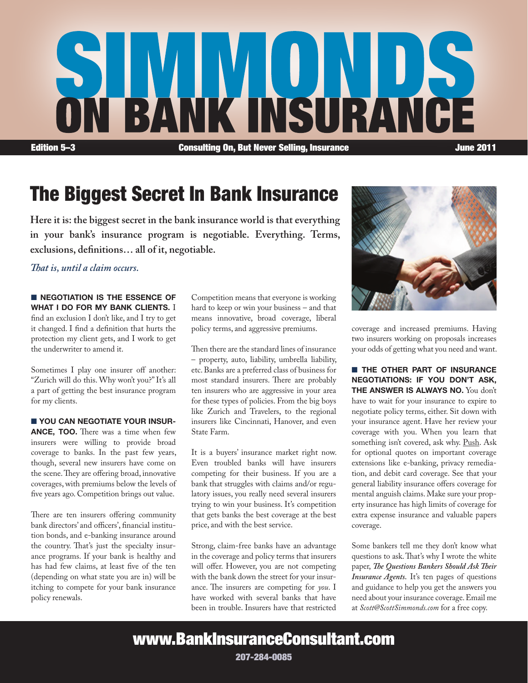

## The Biggest Secret In Bank Insurance

**Here it is: the biggest secret in the bank insurance world is that everything in your bank's insurance program is negotiable. Everything. Terms, exclusions, definitions… all of it, negotiable.** 

*That is, until a claim occurs.*

**NEGOTIATION IS THE ESSENCE OF** WHAT I DO FOR MY BANK CLIENTS. I find an exclusion I don't like, and I try to get it changed. I find a definition that hurts the protection my client gets, and I work to get the underwriter to amend it.

Sometimes I play one insurer off another: "Zurich will do this. Why won't you?" It's all a part of getting the best insurance program for my clients.

**N YOU CAN NEGOTIATE YOUR INSUR-**

ANCE, TOO. There was a time when few insurers were willing to provide broad coverage to banks. In the past few years, though, several new insurers have come on the scene. They are offering broad, innovative coverages, with premiums below the levels of five years ago. Competition brings out value.

There are ten insurers offering community bank directors' and officers', financial institution bonds, and e-banking insurance around the country. That's just the specialty insurance programs. If your bank is healthy and has had few claims, at least five of the ten (depending on what state you are in) will be itching to compete for your bank insurance policy renewals.

Competition means that everyone is working hard to keep or win your business – and that means innovative, broad coverage, liberal policy terms, and aggressive premiums.

Then there are the standard lines of insurance – property, auto, liability, umbrella liability, etc. Banks are a preferred class of business for most standard insurers. There are probably ten insurers who are aggressive in your area for these types of policies. From the big boys like Zurich and Travelers, to the regional insurers like Cincinnati, Hanover, and even State Farm.

It is a buyers' insurance market right now. Even troubled banks will have insurers competing for their business. If you are a bank that struggles with claims and/or regulatory issues, you really need several insurers trying to win your business. It's competition that gets banks the best coverage at the best price, and with the best service.

Strong, claim-free banks have an advantage in the coverage and policy terms that insurers will offer. However, you are not competing with the bank down the street for your insurance. The insurers are competing for *you*. I have worked with several banks that have been in trouble. Insurers have that restricted



coverage and increased premiums. Having two insurers working on proposals increases your odds of getting what you need and want.

**N THE OTHER PART OF INSURANCE** negotiations: if you don't ask, THE ANSWER IS ALWAYS NO. You don't have to wait for your insurance to expire to negotiate policy terms, either. Sit down with your insurance agent. Have her review your coverage with you. When you learn that something isn't covered, ask why. Push. Ask for optional quotes on important coverage extensions like e-banking, privacy remediation, and debit card coverage. See that your general liability insurance offers coverage for mental anguish claims. Make sure your property insurance has high limits of coverage for extra expense insurance and valuable papers coverage.

Some bankers tell me they don't know what questions to ask. That's why I wrote the white paper, *The Questions Bankers Should Ask Their Insurance Agents.* It's ten pages of questions and guidance to help you get the answers you need about your insurance coverage. Email me at *Scott@ScottSimmonds.com* for a free copy.

www.BankInsuranceConsultant.com

207-284-0085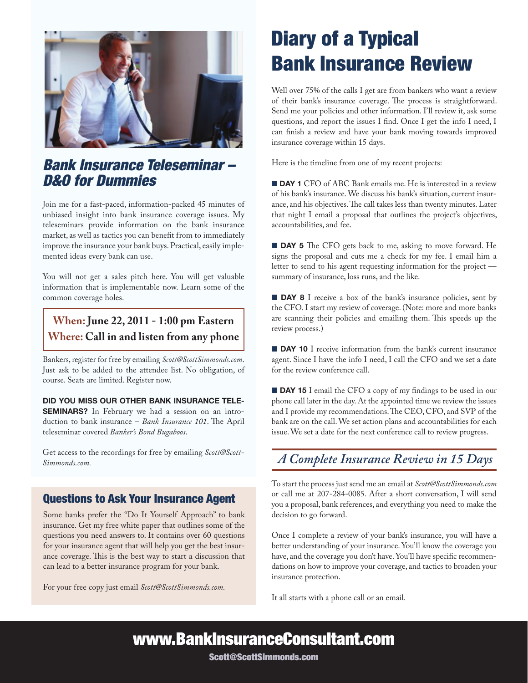

### *Bank Insurance Teleseminar – D&O for Dummies*

Join me for a fast-paced, information-packed 45 minutes of unbiased insight into bank insurance coverage issues. My teleseminars provide information on the bank insurance market, as well as tactics you can benefit from to immediately improve the insurance your bank buys. Practical, easily implemented ideas every bank can use.

You will not get a sales pitch here. You will get valuable information that is implementable now. Learn some of the common coverage holes.

### **When: June 22, 2011 - 1:00 pm Eastern Where: Call in and listen from any phone**

Bankers, register for free by emailing *Scott@ScottSimmonds.com*. Just ask to be added to the attendee list. No obligation, of course. Seats are limited. Register now.

Did You Miss Our Other Bank Insurance Tele-**SEMINARS?** In February we had a session on an introduction to bank insurance – *Bank Insurance 101*. The April teleseminar covered *Banker's Bond Bugaboos*.

Get access to the recordings for free by emailing *Scott@Scott-Simmonds.com.*

### Questions to Ask Your Insurance Agent

Some banks prefer the "Do It Yourself Approach" to bank insurance. Get my free white paper that outlines some of the questions you need answers to. It contains over 60 questions for your insurance agent that will help you get the best insurance coverage. This is the best way to start a discussion that can lead to a better insurance program for your bank.

For your free copy just email *Scott@ScottSimmonds.com.*

## Diary of a Typical Bank Insurance Review

Well over 75% of the calls I get are from bankers who want a review of their bank's insurance coverage. The process is straightforward. Send me your policies and other information. I'll review it, ask some questions, and report the issues I find. Once I get the info I need, I can finish a review and have your bank moving towards improved insurance coverage within 15 days.

Here is the timeline from one of my recent projects:

**DAY 1** CFO of ABC Bank emails me. He is interested in a review of his bank's insurance. We discuss his bank's situation, current insurance, and his objectives. The call takes less than twenty minutes. Later that night I email a proposal that outlines the project's objectives, accountabilities, and fee.

**DAY 5** The CFO gets back to me, asking to move forward. He signs the proposal and cuts me a check for my fee. I email him a letter to send to his agent requesting information for the project summary of insurance, loss runs, and the like.

**DAY 8** I receive a box of the bank's insurance policies, sent by the CFO. I start my review of coverage. (Note: more and more banks are scanning their policies and emailing them. This speeds up the review process.)

**n** DAY 10 I receive information from the bank's current insurance agent. Since I have the info I need, I call the CFO and we set a date for the review conference call.

**DAY 15** I email the CFO a copy of my findings to be used in our phone call later in the day. At the appointed time we review the issues and I provide my recommendations. The CEO, CFO, and SVP of the bank are on the call. We set action plans and accountabilities for each issue. We set a date for the next conference call to review progress.

## *A Complete Insurance Review in 15 Days*

To start the process just send me an email at *Scott@ScottSimmonds*.*com* or call me at 207-284-0085. After a short conversation, I will send you a proposal, bank references, and everything you need to make the decision to go forward.

Once I complete a review of your bank's insurance, you will have a better understanding of your insurance. You'll know the coverage you have, and the coverage you don't have. You'll have specific recommendations on how to improve your coverage, and tactics to broaden your insurance protection.

It all starts with a phone call or an email.

www.BankInsuranceConsultant.com

Scott@ScottSimmonds.com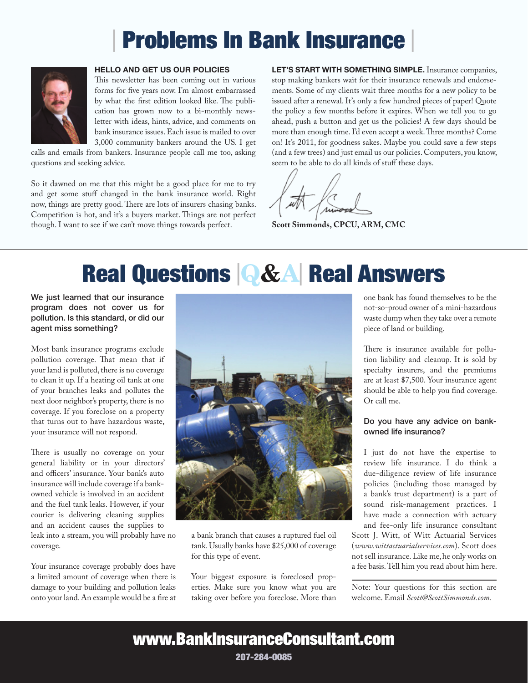# Problems In Bank Insurance



#### Hello and Get Us Our Policies

This newsletter has been coming out in various forms for five years now. I'm almost embarrassed by what the first edition looked like. The publication has grown now to a bi-monthly newsletter with ideas, hints, advice, and comments on bank insurance issues. Each issue is mailed to over 3,000 community bankers around the US. I get

calls and emails from bankers. Insurance people call me too, asking questions and seeking advice.

So it dawned on me that this might be a good place for me to try and get some stuff changed in the bank insurance world. Right now, things are pretty good. There are lots of insurers chasing banks. Competition is hot, and it's a buyers market. Things are not perfect though. I want to see if we can't move things towards perfect.

LET'S START WITH SOMETHING SIMPLE. Insurance companies, stop making bankers wait for their insurance renewals and endorsements. Some of my clients wait three months for a new policy to be issued after a renewal. It's only a few hundred pieces of paper! Quote the policy a few months before it expires. When we tell you to go ahead, push a button and get us the policies! A few days should be more than enough time. I'd even accept a week. Three months? Come on! It's 2011, for goodness sakes. Maybe you could save a few steps (and a few trees) and just email us our policies. Computers, you know, seem to be able to do all kinds of stuff these days.

**Scott Simmonds, CPCU, ARM, CMC**

# Real Questions <sup>|</sup>Q&A| Real Answers

We just learned that our insurance program does not cover us for pollution. Is this standard, or did our agent miss something?

Most bank insurance programs exclude pollution coverage. That mean that if your land is polluted, there is no coverage to clean it up. If a heating oil tank at one of your branches leaks and pollutes the next door neighbor's property, there is no coverage. If you foreclose on a property that turns out to have hazardous waste, your insurance will not respond.

There is usually no coverage on your general liability or in your directors' and officers' insurance. Your bank's auto insurance will include coverage if a bankowned vehicle is involved in an accident and the fuel tank leaks. However, if your courier is delivering cleaning supplies and an accident causes the supplies to leak into a stream, you will probably have no coverage.

Your insurance coverage probably does have a limited amount of coverage when there is damage to your building and pollution leaks onto your land. An example would be a fire at



a bank branch that causes a ruptured fuel oil tank. Usually banks have \$25,000 of coverage for this type of event.

Your biggest exposure is foreclosed properties. Make sure you know what you are taking over before you foreclose. More than one bank has found themselves to be the not-so-proud owner of a mini-hazardous waste dump when they take over a remote piece of land or building.

There is insurance available for pollution liability and cleanup. It is sold by specialty insurers, and the premiums are at least \$7,500. Your insurance agent should be able to help you find coverage. Or call me.

#### Do you have any advice on bankowned life insurance?

I just do not have the expertise to review life insurance. I do think a due-diligence review of life insurance policies (including those managed by a bank's trust department) is a part of sound risk-management practices. I have made a connection with actuary and fee-only life insurance consultant

Scott J. Witt, of Witt Actuarial Services (*www.wittactuarialservices.com*). Scott does not sell insurance. Like me, he only works on a fee basis. Tell him you read about him here.

Note: Your questions for this section are welcome. Email *Scott@ScottSimmonds.com.* 

www.BankInsuranceConsultant.com

207-284-0085